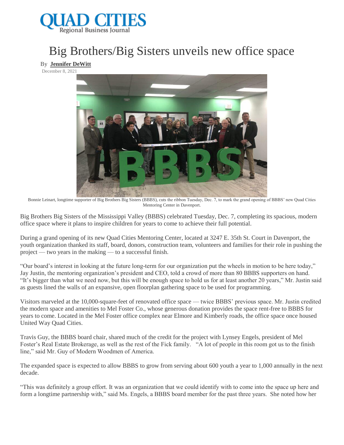

## Big Brothers/Big Sisters unveils new office space

By **[Jennifer DeWitt](https://quadcitiesbusiness.com/author/jenniferquadcitiesbusiness-com/)**

December 8, 2021



Bonnie Leinart, longtime supporter of Big Brothers Big Sisters (BBBS), cuts the ribbon Tuesday, Dec. 7, to mark the grand opening of BBBS' new Quad Cities Mentoring Center in Davenport.

Big Brothers Big Sisters of the Mississippi Valley (BBBS) celebrated Tuesday, Dec. 7, completing its spacious, modern office space where it plans to inspire children for years to come to achieve their full potential.

During a grand opening of its new Quad Cities Mentoring Center, located at 3247 E. 35th St. Court in Davenport, the youth organization thanked its staff, board, donors, construction team, volunteers and families for their role in pushing the project — two years in the making — to a successful finish.

"Our board's interest in looking at the future long-term for our organization put the wheels in motion to be here today," Jay Justin, the mentoring organization's president and CEO, told a crowd of more than 80 BBBS supporters on hand. "It's bigger than what we need now, but this will be enough space to hold us for at least another 20 years," Mr. Justin said as guests lined the walls of an expansive, open floorplan gathering space to be used for programming.

Visitors marveled at the 10,000-square-feet of renovated office space — twice BBBS' previous space. Mr. Justin credited the modern space and amenities to Mel Foster Co., whose generous donation provides the space rent-free to BBBS for years to come. Located in the Mel Foster office complex near Elmore and Kimberly roads, the office space once housed United Way Quad Cities.

Travis Guy, the BBBS board chair, shared much of the credit for the project with Lynsey Engels, president of Mel Foster's Real Estate Brokerage, as well as the rest of the Fick family. "A lot of people in this room got us to the finish line," said Mr. Guy of Modern Woodmen of America.

The expanded space is expected to allow BBBS to grow from serving about 600 youth a year to 1,000 annually in the next decade.

"This was definitely a group effort. It was an organization that we could identify with to come into the space up here and form a longtime partnership with," said Ms. Engels, a BBBS board member for the past three years. She noted how her